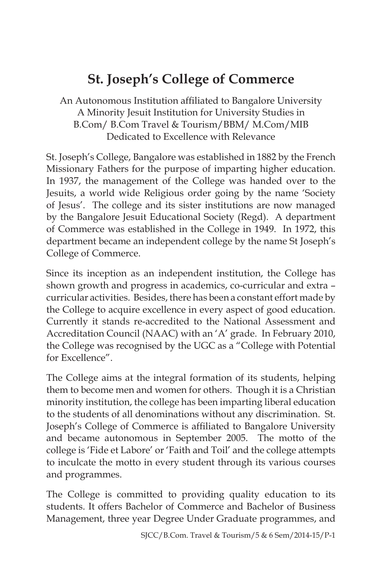# **St. Joseph's College of Commerce**

An Autonomous Institution affiliated to Bangalore University A Minority Jesuit Institution for University Studies in B.Com/ B.Com Travel & Tourism/BBM/ M.Com/MIB Dedicated to Excellence with Relevance

St. Joseph's College, Bangalore was established in 1882 by the French Missionary Fathers for the purpose of imparting higher education. In 1937, the management of the College was handed over to the Jesuits, a world wide Religious order going by the name 'Society of Jesus'. The college and its sister institutions are now managed by the Bangalore Jesuit Educational Society (Regd). A department of Commerce was established in the College in 1949. In 1972, this department became an independent college by the name St Joseph's College of Commerce.

Since its inception as an independent institution, the College has shown growth and progress in academics, co-curricular and extra – curricular activities. Besides, there has been a constant effort made by the College to acquire excellence in every aspect of good education. Currently it stands re-accredited to the National Assessment and Accreditation Council (NAAC) with an 'A' grade. In February 2010, the College was recognised by the UGC as a "College with Potential for Excellence".

The College aims at the integral formation of its students, helping them to become men and women for others. Though it is a Christian minority institution, the college has been imparting liberal education to the students of all denominations without any discrimination. St. Joseph's College of Commerce is affiliated to Bangalore University and became autonomous in September 2005. The motto of the college is 'Fide et Labore' or 'Faith and Toil' and the college attempts to inculcate the motto in every student through its various courses and programmes.

The College is committed to providing quality education to its students. It offers Bachelor of Commerce and Bachelor of Business Management, three year Degree Under Graduate programmes, and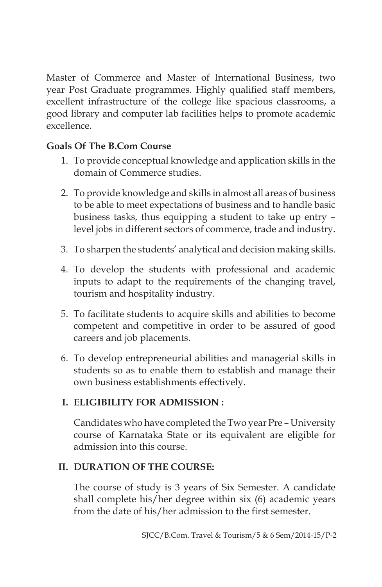Master of Commerce and Master of International Business, two year Post Graduate programmes. Highly qualified staff members, excellent infrastructure of the college like spacious classrooms, a good library and computer lab facilities helps to promote academic excellence.

# **Goals Of The B.Com Course**

- 1. To provide conceptual knowledge and application skills in the domain of Commerce studies.
- 2. To provide knowledge and skills in almost all areas of business to be able to meet expectations of business and to handle basic business tasks, thus equipping a student to take up entry – level jobs in different sectors of commerce, trade and industry.
- 3. To sharpen the students' analytical and decision making skills.
- 4. To develop the students with professional and academic inputs to adapt to the requirements of the changing travel, tourism and hospitality industry.
- 5. To facilitate students to acquire skills and abilities to become competent and competitive in order to be assured of good careers and job placements.
- 6. To develop entrepreneurial abilities and managerial skills in students so as to enable them to establish and manage their own business establishments effectively.

# **I. ELIGIBILITY FOR ADMISSION :**

Candidates who have completed the Two year Pre – University course of Karnataka State or its equivalent are eligible for admission into this course.

# **II. DURATION OF THE COURSE:**

The course of study is 3 years of Six Semester. A candidate shall complete his/her degree within six (6) academic years from the date of his/her admission to the first semester.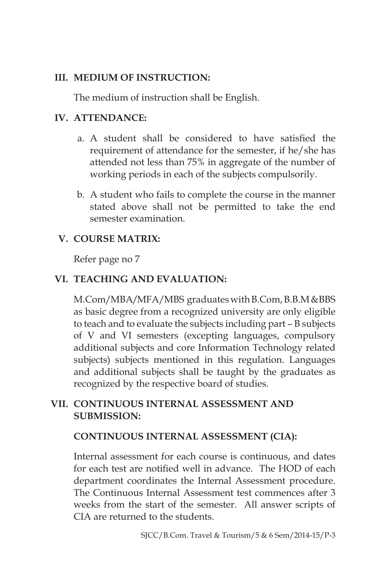### **III. MEDIUM OF INSTRUCTION:**

The medium of instruction shall be English.

### **IV. ATTENDANCE:**

- a. A student shall be considered to have satisfied the requirement of attendance for the semester, if he/she has attended not less than 75% in aggregate of the number of working periods in each of the subjects compulsorily.
- b. A student who fails to complete the course in the manner stated above shall not be permitted to take the end semester examination.

# **V. COURSE MATRIX:**

Refer page no 7

# **VI. TEACHING AND EVALUATION:**

M.Com/MBA/MFA/MBS graduates with B.Com, B.B.M &BBS as basic degree from a recognized university are only eligible to teach and to evaluate the subjects including part – B subjects of V and VI semesters (excepting languages, compulsory additional subjects and core Information Technology related subjects) subjects mentioned in this regulation. Languages and additional subjects shall be taught by the graduates as recognized by the respective board of studies.

# **VII. CONTINUOUS INTERNAL ASSESSMENT AND SUBMISSION:**

#### **CONTINUOUS INTERNAL ASSESSMENT (CIA):**

Internal assessment for each course is continuous, and dates for each test are notified well in advance. The HOD of each department coordinates the Internal Assessment procedure. The Continuous Internal Assessment test commences after 3 weeks from the start of the semester. All answer scripts of CIA are returned to the students.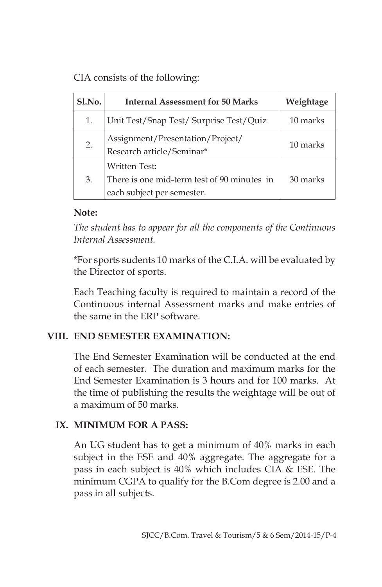CIA consists of the following:

| S1.No. | <b>Internal Assessment for 50 Marks</b>                                                           | Weightage |  |
|--------|---------------------------------------------------------------------------------------------------|-----------|--|
| 1.     | Unit Test/Snap Test/ Surprise Test/Quiz                                                           | 10 marks  |  |
| 2.     | Assignment/Presentation/Project/<br>Research article/Seminar*                                     | 10 marks  |  |
| 3.     | <b>Written Test:</b><br>There is one mid-term test of 90 minutes in<br>each subject per semester. | 30 marks  |  |

#### **Note:**

*The student has to appear for all the components of the Continuous Internal Assessment.*

\*For sports sudents 10 marks of the C.I.A. will be evaluated by the Director of sports.

Each Teaching faculty is required to maintain a record of the Continuous internal Assessment marks and make entries of the same in the ERP software.

#### **VIII. END SEMESTER EXAMINATION:**

The End Semester Examination will be conducted at the end of each semester. The duration and maximum marks for the End Semester Examination is 3 hours and for 100 marks. At the time of publishing the results the weightage will be out of a maximum of 50 marks.

# **IX. MINIMUM FOR A PASS:**

An UG student has to get a minimum of 40% marks in each subject in the ESE and 40% aggregate. The aggregate for a pass in each subject is 40% which includes CIA & ESE. The minimum CGPA to qualify for the B.Com degree is 2.00 and a pass in all subjects.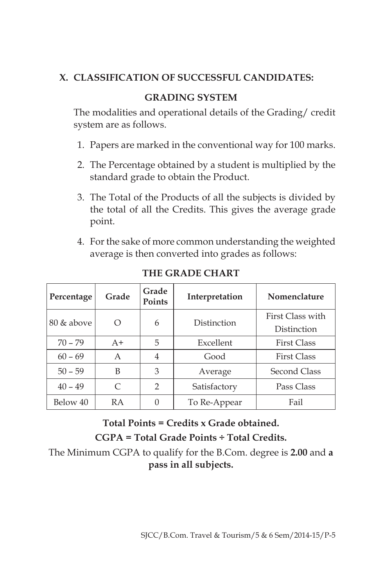# **X. CLASSIFICATION OF SUCCESSFUL CANDIDATES:**

# **GRADING SYSTEM**

The modalities and operational details of the Grading/ credit system are as follows.

- 1. Papers are marked in the conventional way for 100 marks.
- 2. The Percentage obtained by a student is multiplied by the standard grade to obtain the Product.
- 3. The Total of the Products of all the subjects is divided by the total of all the Credits. This gives the average grade point.
- 4. For the sake of more common understanding the weighted average is then converted into grades as follows:

| Percentage | Grade | Grade<br><b>Points</b> | Interpretation | Nomenclature       |  |
|------------|-------|------------------------|----------------|--------------------|--|
| 80 & above | Ω     | 6                      | Distinction    | First Class with   |  |
|            |       |                        |                | Distinction        |  |
| $70 - 79$  | $A+$  | 5                      | Excellent      | <b>First Class</b> |  |
| $60 - 69$  | A     | 4                      | Good           | <b>First Class</b> |  |
| $50 - 59$  | B     | 3                      | Average        | Second Class       |  |
| $40 - 49$  | C     | $\mathcal{P}$          | Satisfactory   | Pass Class         |  |
| Below 40   | RA    | 0                      | To Re-Appear   | Fail               |  |

**THE GRADE CHART**

**Total Points = Credits x Grade obtained.**

**CGPA = Total Grade Points ÷ Total Credits.**

The Minimum CGPA to qualify for the B.Com. degree is **2.00** and **a pass in all subjects.**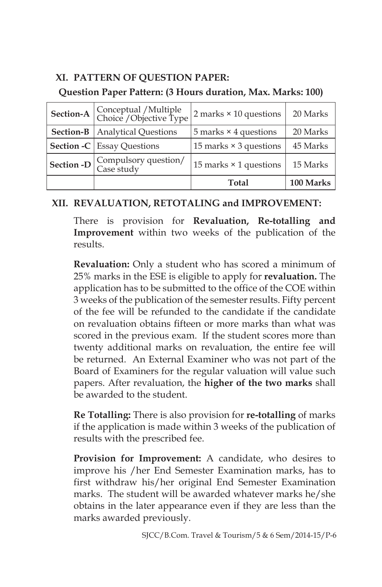### **XI. PATTERN OF QUESTION PAPER:**

#### **Question Paper Pattern: (3 Hours duration, Max. Marks: 100)**

| Section-A                         | Conceptual / Multiple<br>Choice / Objective Type | $2$ marks $\times$ 10 questions | 20 Marks  |
|-----------------------------------|--------------------------------------------------|---------------------------------|-----------|
| Section-B<br>Analytical Questions |                                                  | 5 marks $\times$ 4 questions    | 20 Marks  |
|                                   | <b>Section -C</b> Essay Questions                | 15 marks $\times$ 3 questions   | 45 Marks  |
| Section -D                        | Compulsory question/<br>Case study               | 15 marks $\times$ 1 questions   | 15 Marks  |
|                                   |                                                  | <b>Total</b>                    | 100 Marks |

# **XII. REVALUATION, RETOTALING and IMPROVEMENT:**

There is provision for **Revaluation, Re-totalling and Improvement** within two weeks of the publication of the results.

**Revaluation:** Only a student who has scored a minimum of 25% marks in the ESE is eligible to apply for **revaluation.** The application has to be submitted to the office of the COE within 3 weeks of the publication of the semester results. Fifty percent of the fee will be refunded to the candidate if the candidate on revaluation obtains fifteen or more marks than what was scored in the previous exam. If the student scores more than twenty additional marks on revaluation, the entire fee will be returned. An External Examiner who was not part of the Board of Examiners for the regular valuation will value such papers. After revaluation, the **higher of the two marks** shall be awarded to the student.

 **Re Totalling:** There is also provision for **re-totalling** of marks if the application is made within 3 weeks of the publication of results with the prescribed fee.

 **Provision for Improvement:** A candidate, who desires to improve his /her End Semester Examination marks, has to first withdraw his/her original End Semester Examination marks. The student will be awarded whatever marks he/she obtains in the later appearance even if they are less than the marks awarded previously.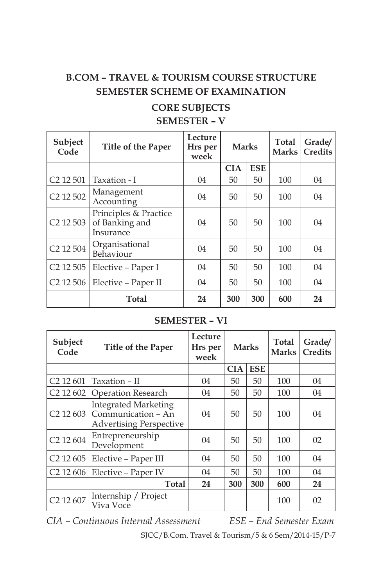# **B.COM – TRAVEL & TOURISM COURSE STRUCTURE SEMESTER SCHEME OF EXAMINATION**

#### **CORE SUBJECTS SEMESTER – V**

| Subject<br>Code                   | Title of the Paper                                   | Lecture<br>Hrs per<br>week | <b>Marks</b> |            | Total<br><b>Marks</b> | Grade/<br><b>Credits</b> |
|-----------------------------------|------------------------------------------------------|----------------------------|--------------|------------|-----------------------|--------------------------|
|                                   |                                                      |                            | <b>CIA</b>   | <b>ESE</b> |                       |                          |
| C <sub>2</sub> 12 501             | Taxation - I                                         | 04                         | 50           | 50         | 100                   | 04                       |
| C <sub>2</sub> 12 50 <sub>2</sub> | Management<br>Accounting                             | 04                         | 50           | 50         | 100                   | 04                       |
| C <sub>2</sub> 12 503             | Principles & Practice<br>of Banking and<br>Insurance | 04                         | 50           | 50         | 100                   | 04                       |
| C <sub>2</sub> 12 504             | Organisational<br>Behaviour                          | 04                         | 50           | 50         | 100                   | 04                       |
| C <sub>2</sub> 12 505             | Elective – Paper I                                   | 04                         | 50           | 50         | 100                   | 04                       |
| C <sub>2</sub> 12 506             | Elective – Paper II                                  | 04                         | 50           | 50         | 100                   | 04                       |
|                                   | Total                                                | 24                         | 300          | 300        | 600                   | 24                       |

### **SEMESTER – VI**

| Subject<br>Code                   | Title of the Paper                                                                  | Lecture<br>Hrs per<br>week | <b>Marks</b> |            | Total<br><b>Marks</b> | Grade/<br>Credits |
|-----------------------------------|-------------------------------------------------------------------------------------|----------------------------|--------------|------------|-----------------------|-------------------|
|                                   |                                                                                     |                            | <b>CIA</b>   | <b>ESE</b> |                       |                   |
| C <sub>2</sub> 12 601             | Taxation - II                                                                       | 04                         | 50           | 50         | 100                   | 04                |
| C <sub>2</sub> 12 60 <sub>2</sub> | Operation Research                                                                  | 04                         | 50           | 50         | 100                   | 04                |
| C <sub>2</sub> 12 603             | <b>Integrated Marketing</b><br>Communication - An<br><b>Advertising Perspective</b> | 04                         | 50           | 50         | 100                   | 04                |
| C <sub>2</sub> 12 604             | Entrepreneurship<br>Development                                                     | 04                         | 50           | 50         | 100                   | 02                |
| C <sub>2</sub> 12605              | Elective – Paper III                                                                | 04                         | 50           | 50         | 100                   | 04                |
| C <sub>2</sub> 12 606             | Elective - Paper IV                                                                 | 04                         | 50           | 50         | 100                   | 04                |
|                                   | Total                                                                               | 24                         | 300          | 300        | 600                   | 24                |
| C <sub>2</sub> 12 607             | Internship / Project<br>Viva Voce                                                   |                            |              |            | 100                   | 02                |

*CIA – Continuous Internal Assessment ESE – End Semester Exam*

SJCC/B.Com. Travel & Tourism/5 & 6 Sem/2014-15/P-7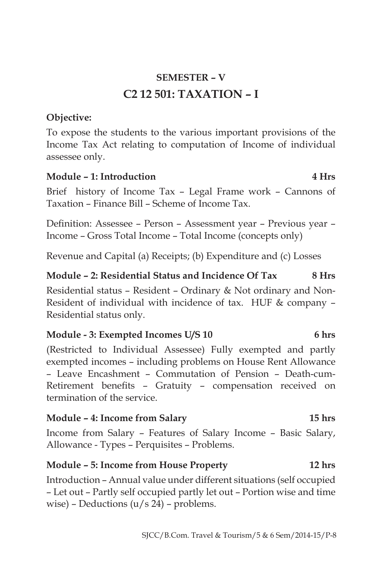# **SEMESTER – V C2 12 501: TAXATION – I**

### **Objective:**

To expose the students to the various important provisions of the Income Tax Act relating to computation of Income of individual assessee only.

#### **Module – 1: Introduction 4 Hrs**

Brief history of Income Tax – Legal Frame work – Cannons of Taxation – Finance Bill – Scheme of Income Tax.

Definition: Assessee – Person – Assessment year – Previous year – Income – Gross Total Income – Total Income (concepts only)

Revenue and Capital (a) Receipts; (b) Expenditure and (c) Losses

#### **Module – 2: Residential Status and Incidence Of Tax 8 Hrs**

Residential status – Resident – Ordinary & Not ordinary and Non-Resident of individual with incidence of tax. HUF & company – Residential status only.

#### Module - 3: Exempted Incomes U/S 10 6 hrs

(Restricted to Individual Assessee) Fully exempted and partly exempted incomes – including problems on House Rent Allowance – Leave Encashment – Commutation of Pension – Death-cum-Retirement benefits – Gratuity – compensation received on termination of the service.

#### **Module – 4: Income from Salary 15 hrs**

Income from Salary – Features of Salary Income – Basic Salary, Allowance - Types – Perquisites – Problems.

#### **Module – 5: Income from House Property 12 hrs**

Introduction – Annual value under different situations (self occupied – Let out – Partly self occupied partly let out – Portion wise and time wise) – Deductions  $(u/s 24)$  – problems.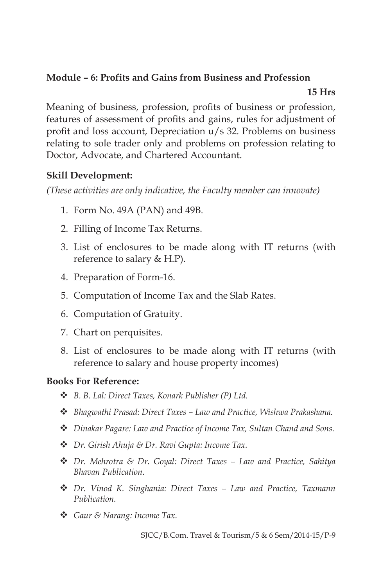#### **Module – 6: Profits and Gains from Business and Profession**

#### **15 Hrs**

Meaning of business, profession, profits of business or profession, features of assessment of profits and gains, rules for adjustment of profit and loss account, Depreciation u/s 32. Problems on business relating to sole trader only and problems on profession relating to Doctor, Advocate, and Chartered Accountant.

### **Skill Development:**

*(These activities are only indicative, the Faculty member can innovate)*

- 1. Form No. 49A (PAN) and 49B.
- 2. Filling of Income Tax Returns.
- 3. List of enclosures to be made along with IT returns (with reference to salary & H.P).
- 4. Preparation of Form-16.
- 5. Computation of Income Tax and the Slab Rates.
- 6. Computation of Gratuity.
- 7. Chart on perquisites.
- 8. List of enclosures to be made along with IT returns (with reference to salary and house property incomes)

#### **Books For Reference:**

- v *B. B. Lal: Direct Taxes, Konark Publisher (P) Ltd.*
- v *Bhagwathi Prasad: Direct Taxes Law and Practice, Wishwa Prakashana.*
- **\*** *Dinakar Pagare: Law and Practice of Income Tax, Sultan Chand and Sons.*
- v *Dr. Girish Ahuja & Dr. Ravi Gupta: Income Tax.*
- v *Dr. Mehrotra & Dr. Goyal: Direct Taxes Law and Practice, Sahitya Bhavan Publication.*
- **❖** *Dr. Vinod K. Singhania: Direct Taxes Law and Practice, Taxmann Publication.*
- v *Gaur & Narang: Income Tax.*

SJCC/B.Com. Travel & Tourism/5 & 6 Sem/2014-15/P-9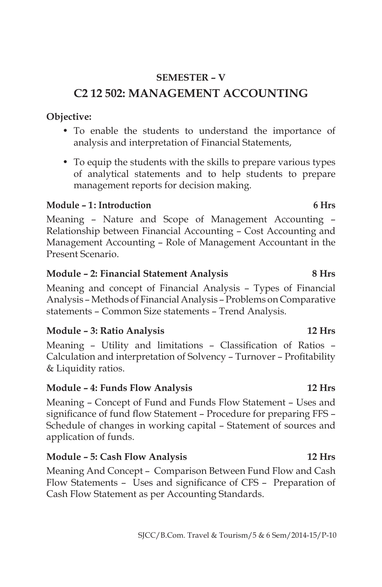- To enable the students to understand the importance of analysis and interpretation of Financial Statements,
- To equip the students with the skills to prepare various types of analytical statements and to help students to prepare management reports for decision making.

#### **Module – 1 : Introduction 6 Hrs**

**Objective:**

Meaning – Nature and Scope of Management Accounting – Relationship between Financial Accounting – Cost Accounting and Management Accounting – Role of Management Accountant in the Present Scenario.

#### **Module – 2: Financial Statement Analysis 8 Hrs**

Meaning and concept of Financial Analysis – Types of Financial Analysis – Methods of Financial Analysis – Problems on Comparative statements – Common Size statements – Trend Analysis.

#### **Module – 3: Ratio Analysis 12 Hrs**

Meaning – Utility and limitations – Classification of Ratios – Calculation and interpretation of Solvency – Turnover – Profitability & Liquidity ratios.

#### **Module – 4: Funds Flow Analysis 12 Hrs**

Meaning – Concept of Fund and Funds Flow Statement – Uses and significance of fund flow Statement – Procedure for preparing FFS – Schedule of changes in working capital – Statement of sources and application of funds.

#### **Module – 5: Cash Flow Analysis 12 Hrs**

Meaning And Concept – Comparison Between Fund Flow and Cash Flow Statements – Uses and significance of CFS – Preparation of Cash Flow Statement as per Accounting Standards.

# **SEMESTER – V C2 12 502: MANAGEMENT ACCOUNTING**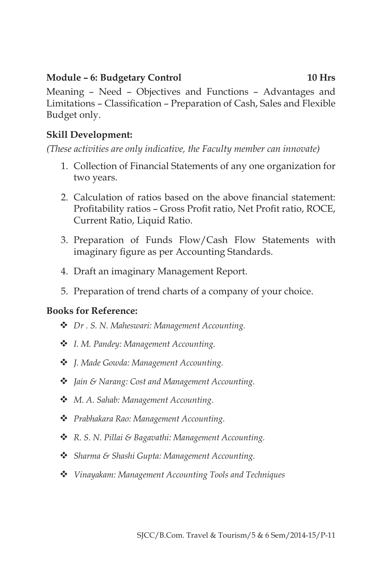#### **Module – 6: Budgetary Control 10 Hrs**

Meaning – Need – Objectives and Functions – Advantages and Limitations – Classification – Preparation of Cash, Sales and Flexible Budget only.

### **Skill Development:**

*(These activities are only indicative, the Faculty member can innovate)*

- 1. Collection of Financial Statements of any one organization for two years.
- 2. Calculation of ratios based on the above financial statement: Profitability ratios – Gross Profit ratio, Net Profit ratio, ROCE, Current Ratio, Liquid Ratio.
- 3. Preparation of Funds Flow/Cash Flow Statements with imaginary figure as per Accounting Standards.
- 4. Draft an imaginary Management Report.
- 5. Preparation of trend charts of a company of your choice.

- v *Dr . S. N. Maheswari: Management Accounting.*
- v *I. M. Pandey: Management Accounting.*
- v *J. Made Gowda: Management Accounting.*
- v *Jain & Narang: Cost and Management Accounting.*
- v *M. A. Sahab: Management Accounting.*
- v *Prabhakara Rao: Management Accounting.*
- v *R. S. N. Pillai & Bagavathi: Management Accounting.*
- v *Sharma & Shashi Gupta: Management Accounting.*
- v *Vinayakam: Management Accounting Tools and Techniques*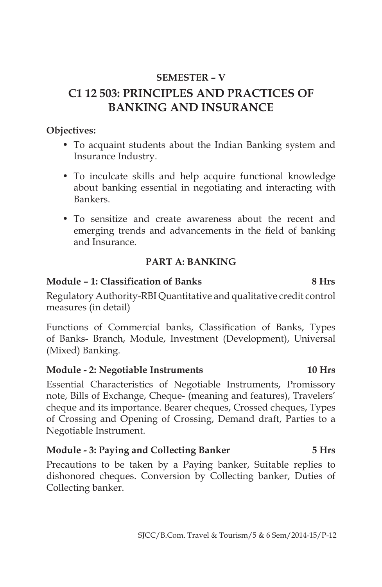### **SEMESTER – V**

# **C1 12 503: PRINCIPLES AND PRACTICES OF BANKING AND INSURANCE**

#### **Objectives:**

- To acquaint students about the Indian Banking system and Insurance Industry.
- To inculcate skills and help acquire functional knowledge about banking essential in negotiating and interacting with Bankers.
- To sensitize and create awareness about the recent and emerging trends and advancements in the field of banking and Insurance.

#### **PART A: BANKING**

#### **Module – 1: Classification of Banks 8 Hrs**

Regulatory Authority-RBI Quantitative and qualitative credit control measures (in detail)

Functions of Commercial banks, Classification of Banks, Types of Banks- Branch, Module, Investment (Development), Universal (Mixed) Banking.

#### **Module - 2: Negotiable Instruments 10 Hrs**

Essential Characteristics of Negotiable Instruments, Promissory note, Bills of Exchange, Cheque- (meaning and features), Travelers' cheque and its importance. Bearer cheques, Crossed cheques, Types of Crossing and Opening of Crossing, Demand draft, Parties to a Negotiable Instrument.

#### **Module - 3: Paying and Collecting Banker 5 Hrs**

Precautions to be taken by a Paying banker, Suitable replies to dishonored cheques. Conversion by Collecting banker, Duties of Collecting banker.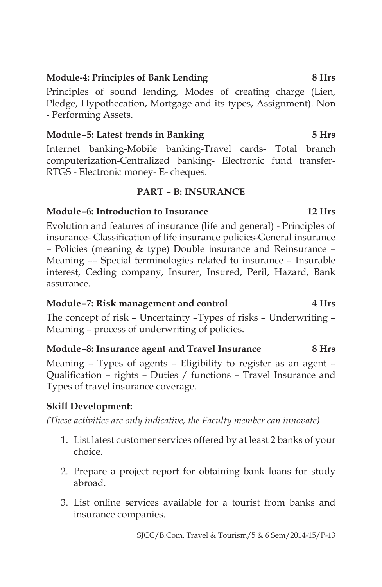### **Module-4: Principles of Bank Lending 8 Hrs**

Principles of sound lending, Modes of creating charge (Lien, Pledge, Hypothecation, Mortgage and its types, Assignment). Non - Performing Assets.

### **Module – 5: Latest trends in Banking 5 Hrs**

Internet banking-Mobile banking-Travel cards- Total branch computerization-Centralized banking- Electronic fund transfer-RTGS - Electronic money- E- cheques.

#### **PART – B: INSURANCE**

### **Module –6: Introduction to Insurance 12 Hrs**

Evolution and features of insurance (life and general) - Principles of insurance- Classification of life insurance policies-General insurance – Policies (meaning & type) Double insurance and Reinsurance – Meaning –– Special terminologies related to insurance – Insurable interest, Ceding company, Insurer, Insured, Peril, Hazard, Bank assurance.

#### **Module –7: Risk management and control 4 Hrs**

The concept of risk – Uncertainty –Types of risks – Underwriting – Meaning – process of underwriting of policies.

#### **Module –8: Insurance agent and Travel Insurance 8 Hrs**

Meaning – Types of agents – Eligibility to register as an agent – Qualification – rights – Duties / functions – Travel Insurance and Types of travel insurance coverage.

# **Skill Development:**

*(These activities are only indicative, the Faculty member can innovate)*

- 1. List latest customer services offered by at least 2 banks of your choice.
- 2. Prepare a project report for obtaining bank loans for study abroad.
- 3. List online services available for a tourist from banks and insurance companies.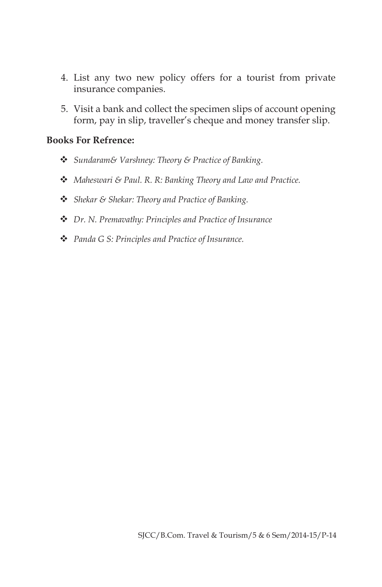- 4. List any two new policy offers for a tourist from private insurance companies.
- 5. Visit a bank and collect the specimen slips of account opening form, pay in slip, traveller's cheque and money transfer slip.

- v *Sundaram& Varshney: Theory & Practice of Banking.*
- v *Maheswari & Paul. R. R: Banking Theory and Law and Practice.*
- v *Shekar & Shekar: Theory and Practice of Banking.*
- v *Dr. N. Premavathy: Principles and Practice of Insurance*
- v *Panda G S: Principles and Practice of Insurance.*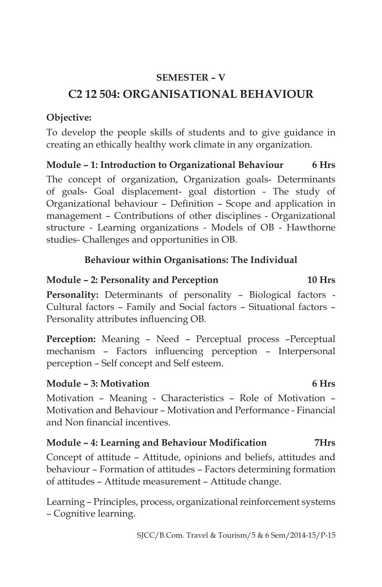### **SEMESTER – V**

# **C2 12 504: ORGANISATIONAL BEHAVIOUR**

#### **Objective:**

To develop the people skills of students and to give guidance in creating an ethically healthy work climate in any organization.

**Module – 1: Introduction to Organizational Behaviour 6 Hrs**

The concept of organization, Organization goals- Determinants of goals- Goal displacement- goal distortion - The study of Organizational behaviour – Definition – Scope and application in management – Contributions of other disciplines - Organizational structure - Learning organizations - Models of OB - Hawthorne studies- Challenges and opportunities in OB.

#### **Behaviour within Organisations: The Individual**

#### **Module – 2: Personality and Perception 10 Hrs**

**Personality:** Determinants of personality – Biological factors - Cultural factors – Family and Social factors – Situational factors – Personality attributes influencing OB.

Perception: Meaning - Need - Perceptual process -Perceptual mechanism – Factors influencing perception – Interpersonal perception – Self concept and Self esteem.

#### **Module – 3: Motivation 6 Hrs**

Motivation – Meaning - Characteristics – Role of Motivation – Motivation and Behaviour – Motivation and Performance - Financial and Non financial incentives.

#### **Module – 4: Learning and Behaviour Modification 7Hrs**

Concept of attitude – Attitude, opinions and beliefs, attitudes and behaviour – Formation of attitudes – Factors determining formation of attitudes – Attitude measurement – Attitude change.

Learning – Principles, process, organizational reinforcement systems – Cognitive learning.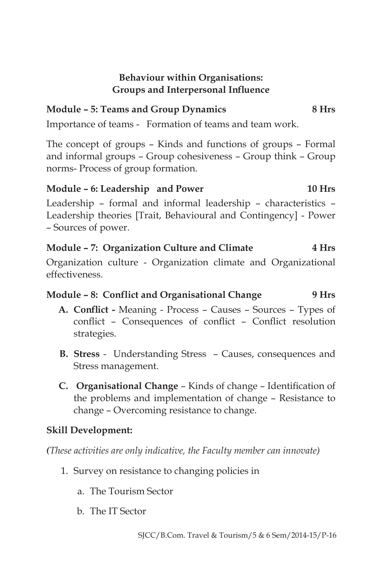#### **Behaviour within Organisations: Groups and Interpersonal Influence**

# **Module – 5: Teams and Group Dynamics 8 Hrs**

Importance of teams - Formation of teams and team work.

The concept of groups – Kinds and functions of groups – Formal and informal groups – Group cohesiveness – Group think – Group norms- Process of group formation.

# **Module – 6: Leadership and Power 10 Hrs**

Leadership – formal and informal leadership – characteristics – Leadership theories [Trait, Behavioural and Contingency] - Power – Sources of power.

#### **Module – 7: Organization Culture and Climate 4 Hrs**

Organization culture - Organization climate and Organizational effectiveness.

### **Module – 8: Conflict and Organisational Change 9 Hrs**

- **A. Conflict -** Meaning Process Causes Sources Types of conflict – Consequences of conflict – Conflict resolution strategies.
- **B. Stress**  Understanding Stress Causes, consequences and Stress management.
- **C. Organisational Change** Kinds of change Identification of the problems and implementation of change – Resistance to change – Overcoming resistance to change.

#### **Skill Development:**

*(These activities are only indicative, the Faculty member can innovate)*

- 1. Survey on resistance to changing policies in
	- a. The Tourism Sector
	- b. The IT Sector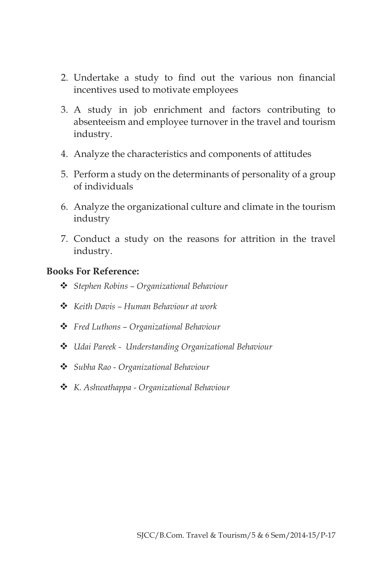- 2. Undertake a study to find out the various non financial incentives used to motivate employees
- 3. A study in job enrichment and factors contributing to absenteeism and employee turnover in the travel and tourism industry.
- 4. Analyze the characteristics and components of attitudes
- 5. Perform a study on the determinants of personality of a group of individuals
- 6. Analyze the organizational culture and climate in the tourism industry
- 7. Conduct a study on the reasons for attrition in the travel industry.

- v *Stephen Robins Organizational Behaviour*
- v *Keith Davis Human Behaviour at work*
- v *Fred Luthons Organizational Behaviour*
- v *Udai Pareek Understanding Organizational Behaviour*
- v *Subha Rao Organizational Behaviour*
- v *K. Ashwathappa Organizational Behaviour*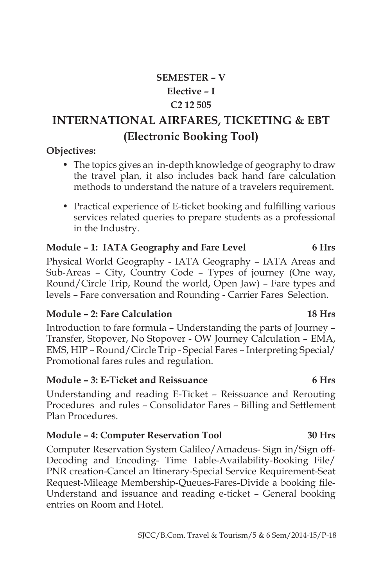# **SEMESTER – V Elective – I C2 12 505**

# **INTERNATIONAL AIRFARES, TICKETING & EBT (Electronic Booking Tool)**

#### **Objectives:**

- The topics gives an in-depth knowledge of geography to draw the travel plan, it also includes back hand fare calculation methods to understand the nature of a travelers requirement.
- Practical experience of E-ticket booking and fulfilling various services related queries to prepare students as a professional in the Industry.

#### **Module – 1: IATA Geography and Fare Level 6 Hrs**

Physical World Geography - IATA Geography – IATA Areas and Sub-Areas – City, Country Code – Types of journey (One way, Round/Circle Trip, Round the world, Open Jaw) – Fare types and levels – Fare conversation and Rounding - Carrier Fares Selection.

#### **Module – 2: Fare Calculation 18 Hrs**

Introduction to fare formula – Understanding the parts of Journey – Transfer, Stopover, No Stopover - OW Journey Calculation – EMA, EMS, HIP – Round/Circle Trip - Special Fares – Interpreting Special/ Promotional fares rules and regulation.

#### **Module – 3: E-Ticket and Reissuance 6 Hrs**

Understanding and reading E-Ticket – Reissuance and Rerouting Procedures and rules – Consolidator Fares – Billing and Settlement Plan Procedures.

#### **Module – 4: Computer Reservation Tool 30 Hrs**

Computer Reservation System Galileo/Amadeus- Sign in/Sign off-Decoding and Encoding- Time Table-Availability-Booking File/ PNR creation-Cancel an Itinerary-Special Service Requirement-Seat Request-Mileage Membership-Queues-Fares-Divide a booking file-Understand and issuance and reading e-ticket – General booking entries on Room and Hotel.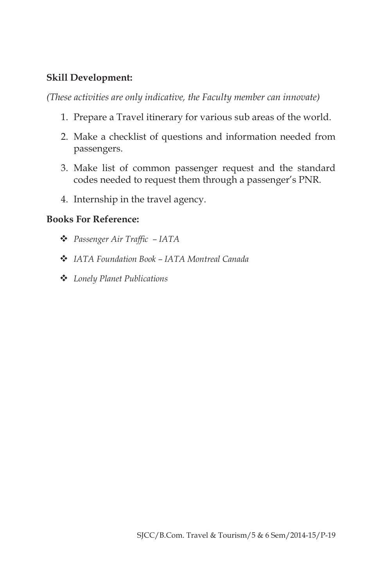#### **Skill Development:**

*(These activities are only indicative, the Faculty member can innovate)*

- 1. Prepare a Travel itinerary for various sub areas of the world.
- 2. Make a checklist of questions and information needed from passengers.
- 3. Make list of common passenger request and the standard codes needed to request them through a passenger's PNR.
- 4. Internship in the travel agency.

- v *Passenger Air Traffic – IATA*
- v *IATA Foundation Book IATA Montreal Canada*
- v *Lonely Planet Publications*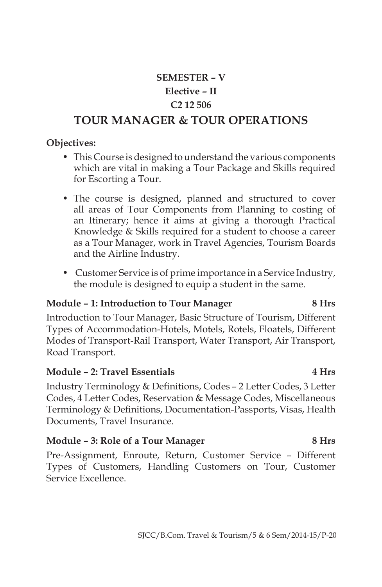# **SEMESTER – V Elective – II C2 12 506 TOUR MANAGER & TOUR OPERATIONS**

#### **Objectives:**

- This Course is designed to understand the various components which are vital in making a Tour Package and Skills required for Escorting a Tour.
- The course is designed, planned and structured to cover all areas of Tour Components from Planning to costing of an Itinerary; hence it aims at giving a thorough Practical Knowledge & Skills required for a student to choose a career as a Tour Manager, work in Travel Agencies, Tourism Boards and the Airline Industry.
- Customer Service is of prime importance in a Service Industry, the module is designed to equip a student in the same.

#### **Module – 1: Introduction to Tour Manager 8 Hrs**

Introduction to Tour Manager, Basic Structure of Tourism, Different Types of Accommodation-Hotels, Motels, Rotels, Floatels, Different Modes of Transport-Rail Transport, Water Transport, Air Transport, Road Transport.

#### **Module – 2: Travel Essentials 4 Hrs**

Industry Terminology & Definitions, Codes – 2 Letter Codes, 3 Letter Codes, 4 Letter Codes, Reservation & Message Codes, Miscellaneous Terminology & Definitions, Documentation-Passports, Visas, Health Documents, Travel Insurance.

#### Module – 3: Role of a Tour Manager 8 Hrs

Pre-Assignment, Enroute, Return, Customer Service – Different Types of Customers, Handling Customers on Tour, Customer Service Excellence.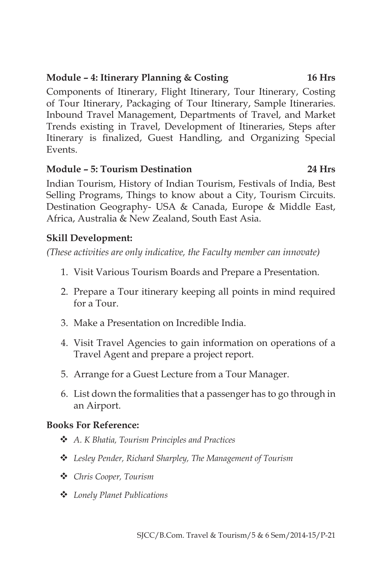### **Module – 4: Itinerary Planning & Costing 16 Hrs**

Components of Itinerary, Flight Itinerary, Tour Itinerary, Costing of Tour Itinerary, Packaging of Tour Itinerary, Sample Itineraries. Inbound Travel Management, Departments of Travel, and Market Trends existing in Travel, Development of Itineraries, Steps after Itinerary is finalized, Guest Handling, and Organizing Special Events.

#### **Module – 5: Tourism Destination 24 Hrs**

Indian Tourism, History of Indian Tourism, Festivals of India, Best Selling Programs, Things to know about a City, Tourism Circuits. Destination Geography- USA & Canada, Europe & Middle East, Africa, Australia & New Zealand, South East Asia.

### **Skill Development:**

*(These activities are only indicative, the Faculty member can innovate)*

- 1. Visit Various Tourism Boards and Prepare a Presentation.
- 2. Prepare a Tour itinerary keeping all points in mind required for a Tour.
- 3. Make a Presentation on Incredible India.
- 4. Visit Travel Agencies to gain information on operations of a Travel Agent and prepare a project report.
- 5. Arrange for a Guest Lecture from a Tour Manager.
- 6. List down the formalities that a passenger has to go through in an Airport.

- **❖** A. *K Bhatia, Tourism Principles and Practices*
- $\cdot$  Lesley Pender, Richard Sharpley, The Management of Tourism
- v *Chris Cooper, Tourism*
- v *Lonely Planet Publications*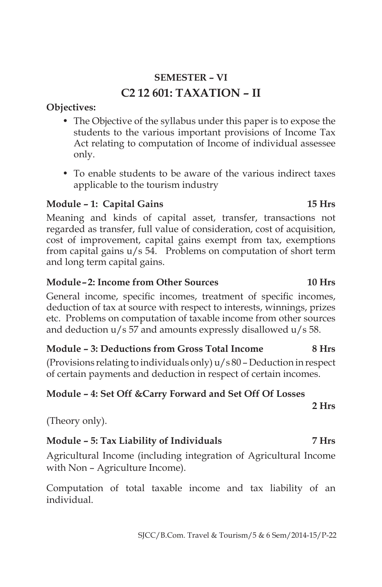# **SEMESTER – VI C2 12 601: TAXATION – II**

#### **Objectives:**

- The Objective of the syllabus under this paper is to expose the students to the various important provisions of Income Tax Act relating to computation of Income of individual assessee only.
- To enable students to be aware of the various indirect taxes applicable to the tourism industry

### **Module – 1: Capital Gains 15 Hrs**

Meaning and kinds of capital asset, transfer, transactions not regarded as transfer, full value of consideration, cost of acquisition, cost of improvement, capital gains exempt from tax, exemptions from capital gains u/s 54. Problems on computation of short term and long term capital gains.

#### **Module – 2: Income from Other Sources 10 Hrs**

General income, specific incomes, treatment of specific incomes, deduction of tax at source with respect to interests, winnings, prizes etc. Problems on computation of taxable income from other sources and deduction u/s 57 and amounts expressly disallowed u/s 58.

#### **Module – 3: Deductions from Gross Total Income 8 Hrs**

(Provisions relating to individuals only) u/s 80 – Deduction in respect of certain payments and deduction in respect of certain incomes.

#### **Module – 4: Set Off &Carry Forward and Set Off Of Losses**

**2 Hrs**

(Theory only).

# **Module – 5: Tax Liability of Individuals 7 Hrs**

Agricultural Income (including integration of Agricultural Income with Non – Agriculture Income).

Computation of total taxable income and tax liability of an individual.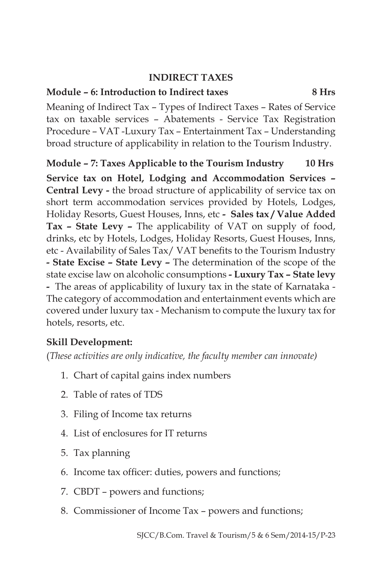#### **INDIRECT TAXES**

#### **Module – 6: Introduction to Indirect taxes 8 Hrs**

Meaning of Indirect Tax – Types of Indirect Taxes – Rates of Service tax on taxable services – Abatements - Service Tax Registration Procedure – VAT -Luxury Tax – Entertainment Tax – Understanding broad structure of applicability in relation to the Tourism Industry.

**Module – 7: Taxes Applicable to the Tourism Industry 10 Hrs Service tax on Hotel, Lodging and Accommodation Services – Central Levy -** the broad structure of applicability of service tax on short term accommodation services provided by Hotels, Lodges, Holiday Resorts, Guest Houses, Inns, etc **- Sales tax / Value Added Tax – State Levy –** The applicability of VAT on supply of food, drinks, etc by Hotels, Lodges, Holiday Resorts, Guest Houses, Inns, etc - Availability of Sales Tax/ VAT benefits to the Tourism Industry **- State Excise – State Levy –** The determination of the scope of the state excise law on alcoholic consumptions **- Luxury Tax – State levy -** The areas of applicability of luxury tax in the state of Karnataka - The category of accommodation and entertainment events which are covered under luxury tax - Mechanism to compute the luxury tax for hotels, resorts, etc.

#### **Skill Development:**

(*These activities are only indicative, the faculty member can innovate)*

- 1. Chart of capital gains index numbers
- 2. Table of rates of TDS
- 3. Filing of Income tax returns
- 4. List of enclosures for IT returns
- 5. Tax planning
- 6. Income tax officer: duties, powers and functions;
- 7. CBDT powers and functions;
- 8. Commissioner of Income Tax powers and functions;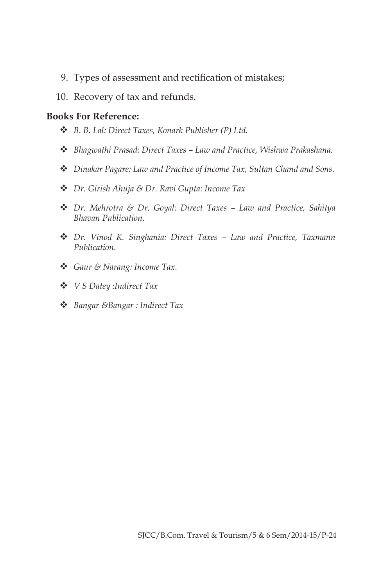- 9. Types of assessment and rectification of mistakes;
- 10. Recovery of tax and refunds.

- v *B. B. Lal: Direct Taxes, Konark Publisher (P) Ltd.*
- v *Bhagwathi Prasad: Direct Taxes Law and Practice, Wishwa Prakashana.*
- v *Dinakar Pagare: Law and Practice of Income Tax, Sultan Chand and Sons.*
- v *Dr. Girish Ahuja & Dr. Ravi Gupta: Income Tax*
- v *Dr. Mehrotra & Dr. Goyal: Direct Taxes Law and Practice, Sahitya Bhavan Publication.*
- v *Dr. Vinod K. Singhania: Direct Taxes Law and Practice, Taxmann Publication.*
- v *Gaur & Narang: Income Tax.*
- v *V S Datey :Indirect Tax*
- v *Bangar &Bangar : Indirect Tax*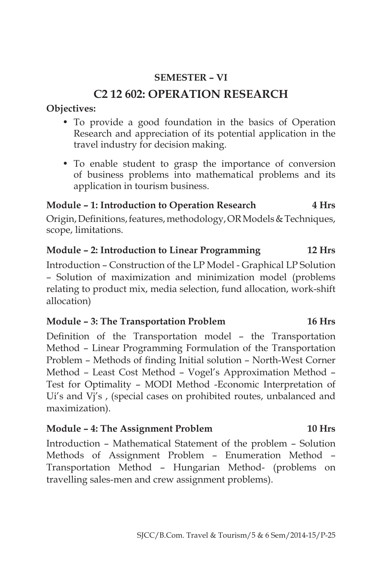### **SEMESTER – VI**

# **C2 12 602: OPERATION RESEARCH**

#### **Objectives:**

- To provide a good foundation in the basics of Operation Research and appreciation of its potential application in the travel industry for decision making.
- To enable student to grasp the importance of conversion of business problems into mathematical problems and its application in tourism business.

#### **Module – 1: Introduction to Operation Research 4 Hrs**

Origin, Definitions, features, methodology, OR Models & Techniques, scope, limitations.

#### **Module – 2: Introduction to Linear Programming 12 Hrs**

Introduction – Construction of the LP Model - Graphical LP Solution – Solution of maximization and minimization model (problems relating to product mix, media selection, fund allocation, work-shift allocation)

#### **Module – 3: The Transportation Problem 16 Hrs**

Definition of the Transportation model – the Transportation Method – Linear Programming Formulation of the Transportation Problem – Methods of finding Initial solution – North-West Corner Method – Least Cost Method – Vogel's Approximation Method – Test for Optimality – MODI Method -Economic Interpretation of Ui's and Vj's , (special cases on prohibited routes, unbalanced and maximization).

#### **Module – 4: The Assignment Problem 10 Hrs**

Introduction – Mathematical Statement of the problem – Solution Methods of Assignment Problem – Enumeration Method – Transportation Method – Hungarian Method- (problems on travelling sales-men and crew assignment problems).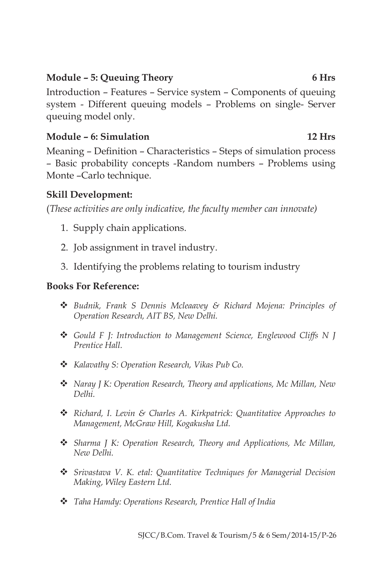### **Module – 5: Queuing Theory 6 Hrs**

Introduction – Features – Service system – Components of queuing system - Different queuing models – Problems on single- Server queuing model only.

### **Module – 6: Simulation 12 Hrs**

Meaning – Definition – Characteristics – Steps of simulation process – Basic probability concepts -Random numbers – Problems using Monte –Carlo technique.

### **Skill Development:**

(*These activities are only indicative, the faculty member can innovate)*

- 1. Supply chain applications.
- 2. Job assignment in travel industry.
- 3. Identifying the problems relating to tourism industry

- v *Budnik, Frank S Dennis Mcleaavey & Richard Mojena: Principles of Operation Research, AIT BS, New Delhi.*
- v *Gould F J: Introduction to Management Science, Englewood Cliffs N J Prentice Hall.*
- v *Kalavathy S: Operation Research, Vikas Pub Co.*
- v *Naray J K: Operation Research, Theory and applications, Mc Millan, New Delhi.*
- v *Richard, I. Levin & Charles A. Kirkpatrick: Quantitative Approaches to Management, McGraw Hill, Kogakusha Ltd.*
- $\div$  *Sharma J K: Operation Research, Theory and Applications, Mc Millan, New Delhi.*
- v *Srivastava V. K. etal: Quantitative Techniques for Managerial Decision Making, Wiley Eastern Ltd.*
- v *Taha Hamdy: Operations Research, Prentice Hall of India*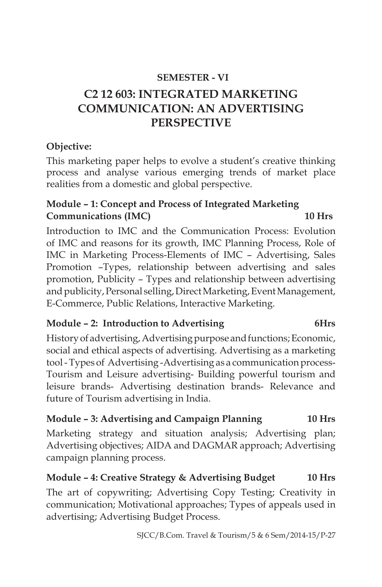### **SEMESTER - VI**

# **C2 12 603: INTEGRATED MARKETING COMMUNICATION: AN ADVERTISING PERSPECTIVE**

#### **Objective:**

This marketing paper helps to evolve a student's creative thinking process and analyse various emerging trends of market place realities from a domestic and global perspective.

# **Module – 1: Concept and Process of Integrated Marketing Communications (IMC) 10 Hrs**

Introduction to IMC and the Communication Process: Evolution of IMC and reasons for its growth, IMC Planning Process, Role of IMC in Marketing Process-Elements of IMC – Advertising, Sales Promotion –Types, relationship between advertising and sales promotion, Publicity – Types and relationship between advertising and publicity, Personal selling, Direct Marketing, Event Management, E-Commerce, Public Relations, Interactive Marketing.

# **Module – 2: Introduction to Advertising 6Hrs**

History of advertising, Advertising purpose and functions; Economic, social and ethical aspects of advertising. Advertising as a marketing tool - Types of Advertising -Advertising as a communication process-Tourism and Leisure advertising- Building powerful tourism and leisure brands- Advertising destination brands- Relevance and future of Tourism advertising in India.

# **Module – 3: Advertising and Campaign Planning 10 Hrs**

Marketing strategy and situation analysis; Advertising plan; Advertising objectives; AIDA and DAGMAR approach; Advertising campaign planning process.

#### **Module – 4: Creative Strategy & Advertising Budget 10 Hrs**

The art of copywriting; Advertising Copy Testing; Creativity in communication; Motivational approaches; Types of appeals used in advertising; Advertising Budget Process.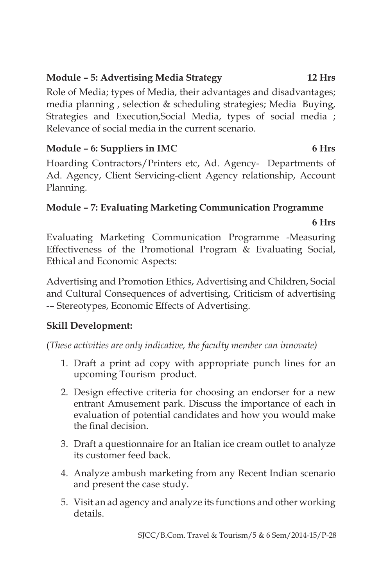# **Module – 5: Advertising Media Strategy 12 Hrs**

Role of Media; types of Media, their advantages and disadvantages; media planning , selection & scheduling strategies; Media Buying, Strategies and Execution,Social Media, types of social media ; Relevance of social media in the current scenario.

# Module – 6: Suppliers in IMC 6 Hrs

Hoarding Contractors/Printers etc, Ad. Agency- Departments of Ad. Agency, Client Servicing-client Agency relationship, Account Planning.

# **Module – 7: Evaluating Marketing Communication Programme**

#### **6 Hrs**

Evaluating Marketing Communication Programme -Measuring Effectiveness of the Promotional Program & Evaluating Social, Ethical and Economic Aspects:

Advertising and Promotion Ethics, Advertising and Children, Social and Cultural Consequences of advertising, Criticism of advertising -– Stereotypes, Economic Effects of Advertising.

# **Skill Development:**

(*These activities are only indicative, the faculty member can innovate)*

- 1. Draft a print ad copy with appropriate punch lines for an upcoming Tourism product.
- 2. Design effective criteria for choosing an endorser for a new entrant Amusement park. Discuss the importance of each in evaluation of potential candidates and how you would make the final decision.
- 3. Draft a questionnaire for an Italian ice cream outlet to analyze its customer feed back.
- 4. Analyze ambush marketing from any Recent Indian scenario and present the case study.
- 5. Visit an ad agency and analyze its functions and other working details.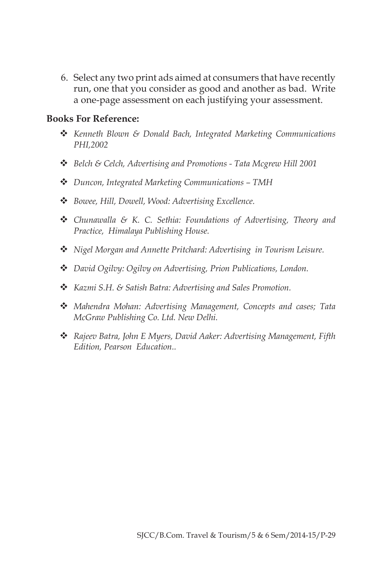6. Select any two print ads aimed at consumers that have recently run, one that you consider as good and another as bad. Write a one-page assessment on each justifying your assessment.

- v *Kenneth Blown & Donald Bach, Integrated Marketing Communications PHI,2002*
- v *Belch & Celch, Advertising and Promotions Tata Mcgrew Hill 2001*
- v *Duncon, Integrated Marketing Communications TMH*
- v *Bowee, Hill, Dowell, Wood: Advertising Excellence.*
- v *Chunawalla & K. C. Sethia: Foundations of Advertising, Theory and Practice, Himalaya Publishing House.*
- v *Nigel Morgan and Annette Pritchard: Advertising in Tourism Leisure.*
- v *David Ogilvy: Ogilvy on Advertising, Prion Publications, London.*
- v *Kazmi S.H. & Satish Batra: Advertising and Sales Promotion.*
- v *Mahendra Mohan: Advertising Management, Concepts and cases; Tata McGraw Publishing Co. Ltd. New Delhi.*
- v *Rajeev Batra, John E Myers, David Aaker: Advertising Management, Fifth Edition, Pearson Education..*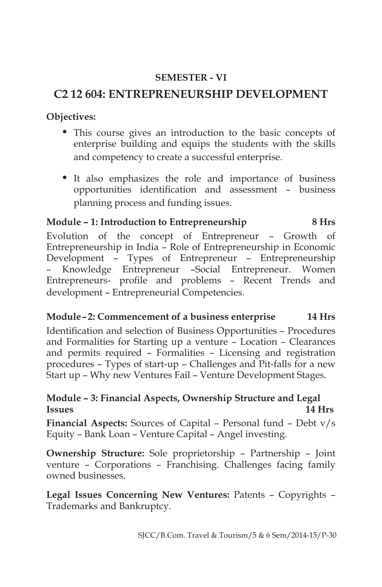### **SEMESTER - VI**

# **C2 12 604: ENTREPRENEURSHIP DEVELOPMENT**

**Objectives:**

- This course gives an introduction to the basic concepts of enterprise building and equips the students with the skills and competency to create a successful enterprise.
- It also emphasizes the role and importance of business opportunities identification and assessment – business planning process and funding issues.

#### **Module – 1: Introduction to Entrepreneurship 8 Hrs**

Evolution of the concept of Entrepreneur – Growth of Entrepreneurship in India – Role of Entrepreneurship in Economic Development – Types of Entrepreneur – Entrepreneurship – Knowledge Entrepreneur –Social Entrepreneur. Women Entrepreneurs- profile and problems – Recent Trends and development – Entrepreneurial Competencies.

# **Module – 2: Commencement of a business enterprise 14 Hrs**

Identification and selection of Business Opportunities – Procedures and Formalities for Starting up a venture – Location – Clearances and permits required – Formalities – Licensing and registration procedures – Types of start-up – Challenges and Pit-falls for a new Start up – Why new Ventures Fail – Venture Development Stages.

#### **Module – 3: Financial Aspects, Ownership Structure and Legal Issues 14 Hrs**

**Financial Aspects:** Sources of Capital – Personal fund – Debt v/s Equity – Bank Loan – Venture Capital – Angel investing.

**Ownership Structure:** Sole proprietorship – Partnership – Joint venture – Corporations – Franchising. Challenges facing family owned businesses.

**Legal Issues Concerning New Ventures:** Patents – Copyrights – Trademarks and Bankruptcy.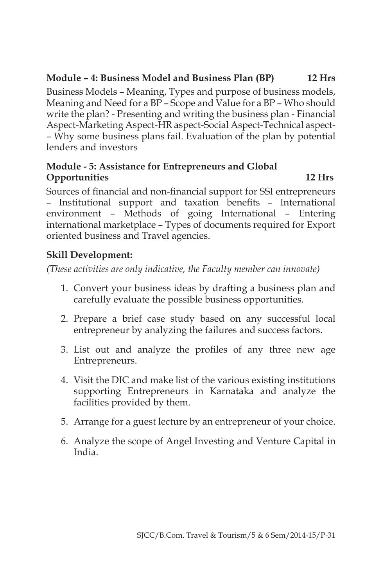# **Module – 4: Business Model and Business Plan (BP) 12 Hrs**

Business Models – Meaning, Types and purpose of business models, Meaning and Need for a BP – Scope and Value for a BP – Who should write the plan? - Presenting and writing the business plan - Financial Aspect-Marketing Aspect-HR aspect-Social Aspect-Technical aspect- – Why some business plans fail. Evaluation of the plan by potential lenders and investors

#### **Module - 5: Assistance for Entrepreneurs and Global Opportunities 12 Hrs**

Sources of financial and non-financial support for SSI entrepreneurs – Institutional support and taxation benefits – International environment – Methods of going International – Entering international marketplace – Types of documents required for Export oriented business and Travel agencies.

### **Skill Development:**

*(These activities are only indicative, the Faculty member can innovate)*

- 1. Convert your business ideas by drafting a business plan and carefully evaluate the possible business opportunities.
- 2. Prepare a brief case study based on any successful local entrepreneur by analyzing the failures and success factors.
- 3. List out and analyze the profiles of any three new age Entrepreneurs.
- 4. Visit the DIC and make list of the various existing institutions supporting Entrepreneurs in Karnataka and analyze the facilities provided by them.
- 5. Arrange for a guest lecture by an entrepreneur of your choice.
- 6. Analyze the scope of Angel Investing and Venture Capital in India.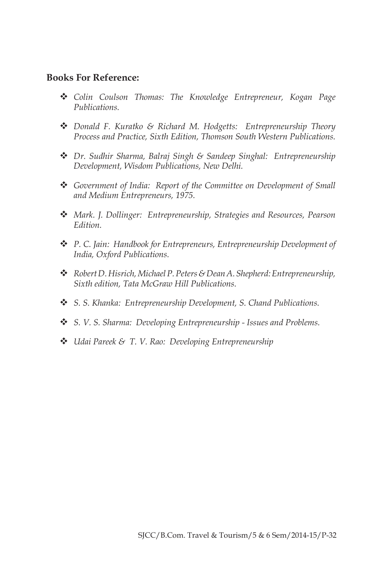- v *Colin Coulson Thomas: The Knowledge Entrepreneur, Kogan Page Publications.*
- v *Donald F. Kuratko & Richard M. Hodgetts: Entrepreneurship Theory Process and Practice, Sixth Edition, Thomson South Western Publications.*
- v *Dr. Sudhir Sharma, Balraj Singh & Sandeep Singhal: Entrepreneurship Development, Wisdom Publications, New Delhi.*
- v *Government of India: Report of the Committee on Development of Small and Medium Entrepreneurs, 1975.*
- v *Mark. J. Dollinger: Entrepreneurship, Strategies and Resources, Pearson Edition.*
- v *P. C. Jain: Handbook for Entrepreneurs, Entrepreneurship Development of India, Oxford Publications.*
- v *Robert D. Hisrich, Michael P. Peters & Dean A. Shepherd: Entrepreneurship, Sixth edition, Tata McGraw Hill Publications.*
- v *S. S. Khanka: Entrepreneurship Development, S. Chand Publications.*
- v *S. V. S. Sharma: Developing Entrepreneurship Issues and Problems.*
- v *Udai Pareek & T. V. Rao: Developing Entrepreneurship*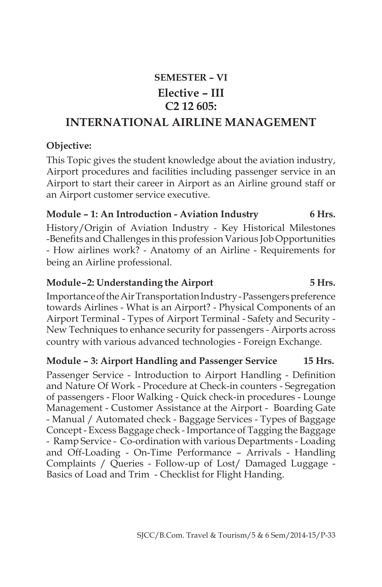# **SEMESTER – VI Elective – III C2 12 605:**

# **INTERNATIONAL AIRLINE MANAGEMENT**

#### **Objective:**

This Topic gives the student knowledge about the aviation industry, Airport procedures and facilities including passenger service in an Airport to start their career in Airport as an Airline ground staff or an Airport customer service executive.

#### **Module – 1: An Introduction - Aviation Industry 6 Hrs.**

History/Origin of Aviation Industry - Key Historical Milestones -Benefits and Challenges in this profession Various Job Opportunities - How airlines work? - Anatomy of an Airline - Requirements for being an Airline professional.

#### **Module – 2: Understanding the Airport 5 Hrs.**

Importance of the Air Transportation Industry - Passengers preference towards Airlines - What is an Airport? - Physical Components of an Airport Terminal - Types of Airport Terminal - Safety and Security - New Techniques to enhance security for passengers - Airports across country with various advanced technologies - Foreign Exchange.

#### **Module – 3: Airport Handling and Passenger Service 15 Hrs.**

Passenger Service - Introduction to Airport Handling - Definition and Nature Of Work - Procedure at Check-in counters - Segregation of passengers - Floor Walking - Quick check-in procedures - Lounge Management - Customer Assistance at the Airport - Boarding Gate - Manual / Automated check - Baggage Services - Types of Baggage Concept - Excess Baggage check - Importance of Tagging the Baggage - Ramp Service - Co-ordination with various Departments - Loading and Off-Loading - On-Time Performance – Arrivals - Handling Complaints / Queries - Follow-up of Lost/ Damaged Luggage - Basics of Load and Trim - Checklist for Flight Handing.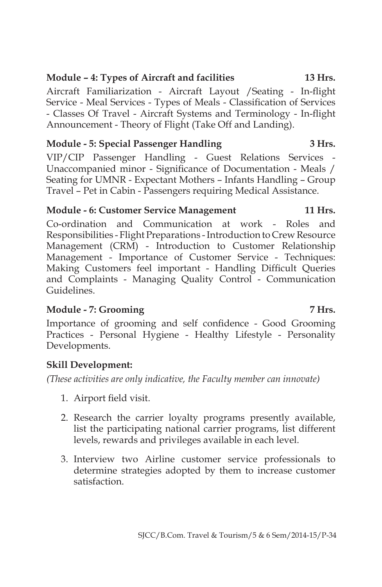### **Module – 4: Types of Aircraft and facilities 13 Hrs.**

Aircraft Familiarization - Aircraft Layout /Seating - In-flight Service - Meal Services - Types of Meals - Classification of Services - Classes Of Travel - Aircraft Systems and Terminology - In-flight Announcement - Theory of Flight (Take Off and Landing).

#### **Module - 5: Special Passenger Handling 3 Hrs.**

VIP/CIP Passenger Handling - Guest Relations Services - Unaccompanied minor - Significance of Documentation - Meals / Seating for UMNR - Expectant Mothers – Infants Handling – Group Travel – Pet in Cabin - Passengers requiring Medical Assistance.

#### **Module - 6: Customer Service Management 11 Hrs.**

Co-ordination and Communication at work - Roles and Responsibilities - Flight Preparations - Introduction to Crew Resource Management (CRM) - Introduction to Customer Relationship Management - Importance of Customer Service - Techniques: Making Customers feel important - Handling Difficult Queries and Complaints - Managing Quality Control - Communication Guidelines.

#### **Module - 7: Grooming 7 Hrs.**

Importance of grooming and self confidence - Good Grooming Practices - Personal Hygiene - Healthy Lifestyle - Personality Developments.

# **Skill Development:**

*(These activities are only indicative, the Faculty member can innovate)*

- 1. Airport field visit.
- 2. Research the carrier loyalty programs presently available, list the participating national carrier programs, list different levels, rewards and privileges available in each level.
- 3. Interview two Airline customer service professionals to determine strategies adopted by them to increase customer satisfaction.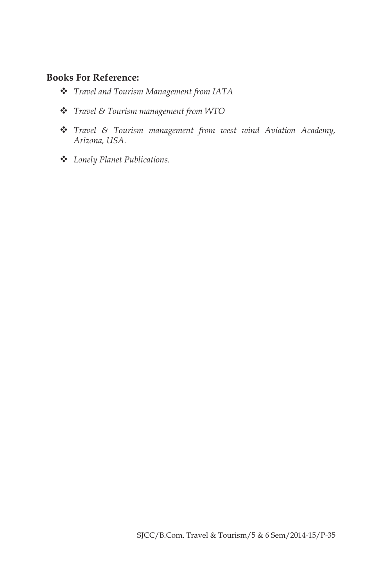- v *Travel and Tourism Management from IATA*
- v *Travel & Tourism management from WTO*
- v *Travel & Tourism management from west wind Aviation Academy, Arizona, USA.*
- v *Lonely Planet Publications.*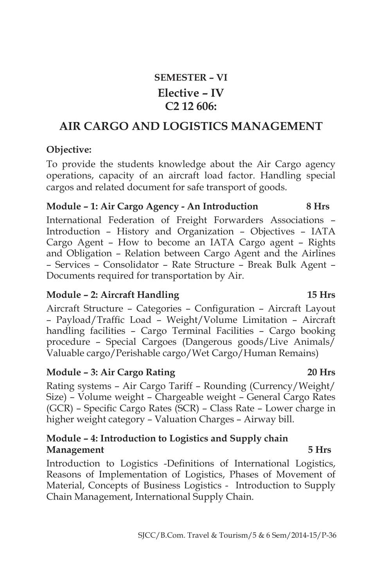# **SEMESTER – VI Elective – IV C2 12 606:**

# **AIR CARGO AND LOGISTICS MANAGEMENT**

#### **Objective:**

To provide the students knowledge about the Air Cargo agency operations, capacity of an aircraft load factor. Handling special cargos and related document for safe transport of goods.

#### **Module – 1: Air Cargo Agency - An Introduction 8 Hrs**

International Federation of Freight Forwarders Associations – Introduction – History and Organization – Objectives – IATA Cargo Agent – How to become an IATA Cargo agent – Rights and Obligation – Relation between Cargo Agent and the Airlines – Services – Consolidator – Rate Structure – Break Bulk Agent – Documents required for transportation by Air.

#### **Module – 2: Aircraft Handling 15 Hrs**

Aircraft Structure – Categories – Configuration – Aircraft Layout – Payload/Traffic Load – Weight/Volume Limitation – Aircraft handling facilities – Cargo Terminal Facilities – Cargo booking procedure – Special Cargoes (Dangerous goods/Live Animals/ Valuable cargo/Perishable cargo/Wet Cargo/Human Remains)

#### **Module – 3: Air Cargo Rating 20 Hrs**

Rating systems – Air Cargo Tariff – Rounding (Currency/Weight/ Size) – Volume weight – Chargeable weight – General Cargo Rates (GCR) – Specific Cargo Rates (SCR) – Class Rate – Lower charge in higher weight category – Valuation Charges – Airway bill.

#### **Module – 4: Introduction to Logistics and Supply chain Management 5 Hrs**

Introduction to Logistics -Definitions of International Logistics, Reasons of Implementation of Logistics, Phases of Movement of Material, Concepts of Business Logistics - Introduction to Supply Chain Management, International Supply Chain.